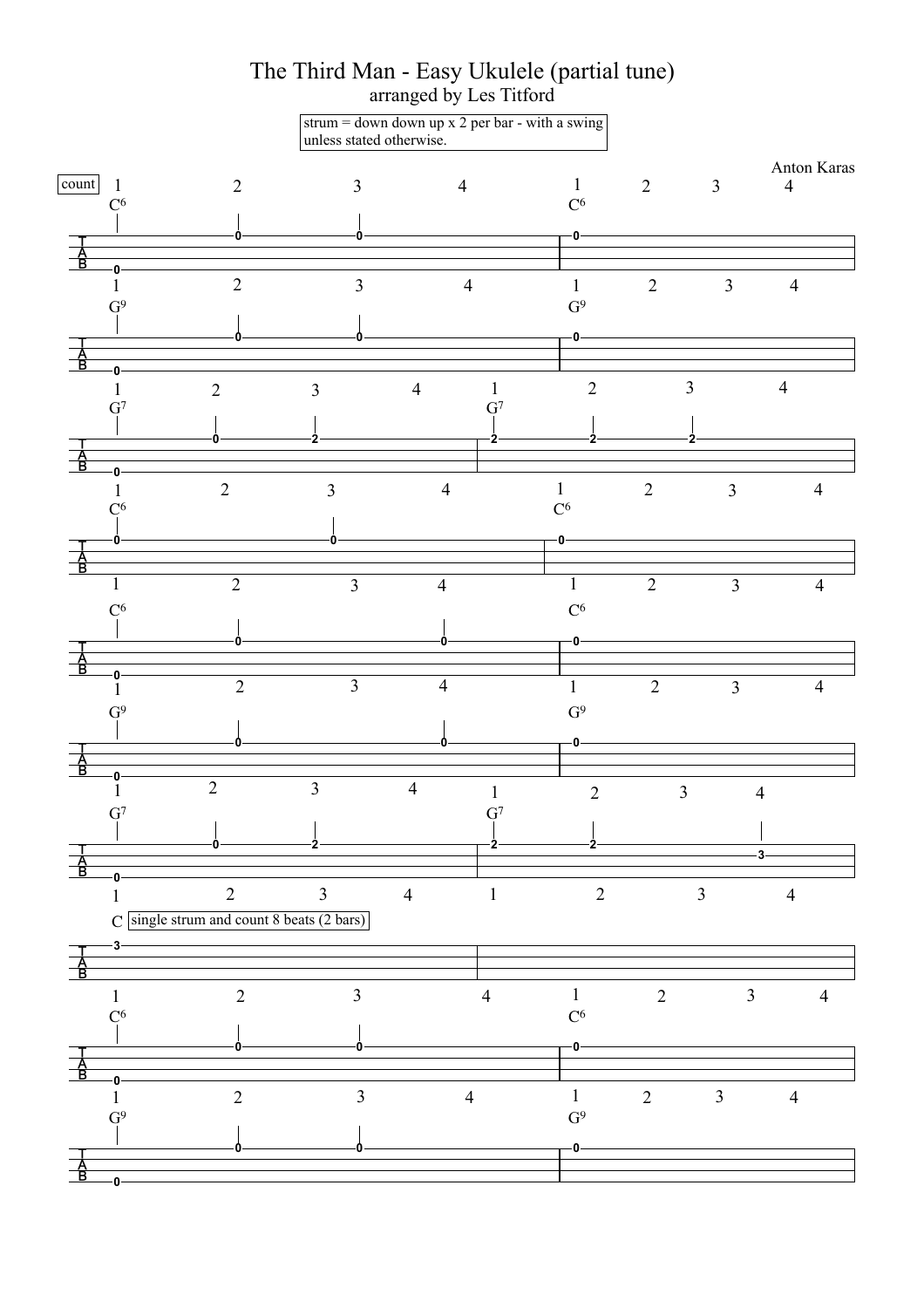

The Third Man - Easy Ukulele (partial tune)